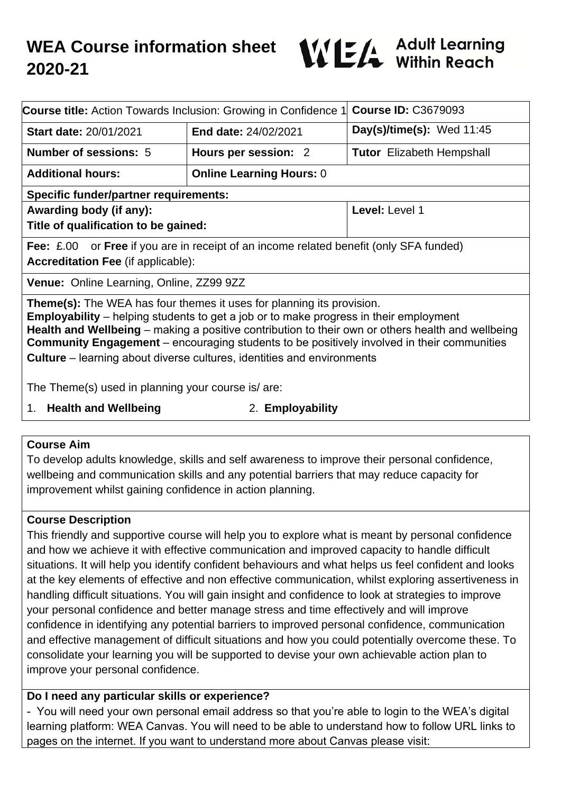

| <b>Course title:</b> Action Towards Inclusion: Growing in Confidence 1                                                                                                                                                                                                                                                                                                                                                                                                  |                                 | <b>Course ID: C3679093</b>       |
|-------------------------------------------------------------------------------------------------------------------------------------------------------------------------------------------------------------------------------------------------------------------------------------------------------------------------------------------------------------------------------------------------------------------------------------------------------------------------|---------------------------------|----------------------------------|
| <b>Start date: 20/01/2021</b>                                                                                                                                                                                                                                                                                                                                                                                                                                           | End date: 24/02/2021            | Day(s)/time(s): Wed $11:45$      |
| <b>Number of sessions: 5</b>                                                                                                                                                                                                                                                                                                                                                                                                                                            | Hours per session: 2            | <b>Tutor</b> Elizabeth Hempshall |
| <b>Additional hours:</b>                                                                                                                                                                                                                                                                                                                                                                                                                                                | <b>Online Learning Hours: 0</b> |                                  |
| <b>Specific funder/partner requirements:</b>                                                                                                                                                                                                                                                                                                                                                                                                                            |                                 |                                  |
| Awarding body (if any):                                                                                                                                                                                                                                                                                                                                                                                                                                                 |                                 | Level: Level 1                   |
| Title of qualification to be gained:                                                                                                                                                                                                                                                                                                                                                                                                                                    |                                 |                                  |
| <b>Fee:</b> £.00 or <b>Free</b> if you are in receipt of an income related benefit (only SFA funded)                                                                                                                                                                                                                                                                                                                                                                    |                                 |                                  |
| <b>Accreditation Fee (if applicable):</b>                                                                                                                                                                                                                                                                                                                                                                                                                               |                                 |                                  |
| Venue: Online Learning, Online, ZZ99 9ZZ                                                                                                                                                                                                                                                                                                                                                                                                                                |                                 |                                  |
| <b>Theme(s):</b> The WEA has four themes it uses for planning its provision.<br><b>Employability</b> – helping students to get a job or to make progress in their employment<br>Health and Wellbeing – making a positive contribution to their own or others health and wellbeing<br><b>Community Engagement</b> – encouraging students to be positively involved in their communities<br><b>Culture</b> – learning about diverse cultures, identities and environments |                                 |                                  |
| The Theme(s) used in planning your course is/are:                                                                                                                                                                                                                                                                                                                                                                                                                       |                                 |                                  |
| .                                                                                                                                                                                                                                                                                                                                                                                                                                                                       |                                 |                                  |

- 1. **Health and Wellbeing** 2. **Employability**
	-

#### **Course Aim**

To develop adults knowledge, skills and self awareness to improve their personal confidence, wellbeing and communication skills and any potential barriers that may reduce capacity for improvement whilst gaining confidence in action planning.

#### **Course Description**

This friendly and supportive course will help you to explore what is meant by personal confidence and how we achieve it with effective communication and improved capacity to handle difficult situations. It will help you identify confident behaviours and what helps us feel confident and looks at the key elements of effective and non effective communication, whilst exploring assertiveness in handling difficult situations. You will gain insight and confidence to look at strategies to improve your personal confidence and better manage stress and time effectively and will improve confidence in identifying any potential barriers to improved personal confidence, communication and effective management of difficult situations and how you could potentially overcome these. To consolidate your learning you will be supported to devise your own achievable action plan to improve your personal confidence.

### **Do I need any particular skills or experience?**

- You will need your own personal email address so that you're able to login to the WEA's digital learning platform: WEA Canvas. You will need to be able to understand how to follow URL links to pages on the internet. If you want to understand more about Canvas please visit: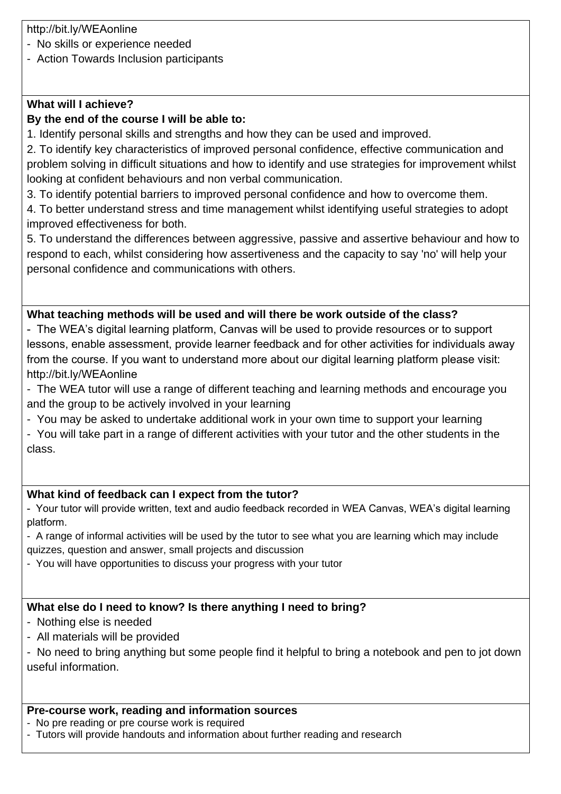http://bit.ly/WEAonline

- No skills or experience needed
- Action Towards Inclusion participants

# **What will I achieve?**

# **By the end of the course I will be able to:**

1. Identify personal skills and strengths and how they can be used and improved.

2. To identify key characteristics of improved personal confidence, effective communication and problem solving in difficult situations and how to identify and use strategies for improvement whilst looking at confident behaviours and non verbal communication.

3. To identify potential barriers to improved personal confidence and how to overcome them.

4. To better understand stress and time management whilst identifying useful strategies to adopt improved effectiveness for both.

5. To understand the differences between aggressive, passive and assertive behaviour and how to respond to each, whilst considering how assertiveness and the capacity to say 'no' will help your personal confidence and communications with others.

### **What teaching methods will be used and will there be work outside of the class?**

- The WEA's digital learning platform, Canvas will be used to provide resources or to support lessons, enable assessment, provide learner feedback and for other activities for individuals away from the course. If you want to understand more about our digital learning platform please visit: http://bit.ly/WEAonline

- The WEA tutor will use a range of different teaching and learning methods and encourage you and the group to be actively involved in your learning

- You may be asked to undertake additional work in your own time to support your learning

- You will take part in a range of different activities with your tutor and the other students in the class.

# **What kind of feedback can I expect from the tutor?**

- Your tutor will provide written, text and audio feedback recorded in WEA Canvas, WEA's digital learning platform.

- A range of informal activities will be used by the tutor to see what you are learning which may include quizzes, question and answer, small projects and discussion

- You will have opportunities to discuss your progress with your tutor

# **What else do I need to know? Is there anything I need to bring?**

- Nothing else is needed

- All materials will be provided

- No need to bring anything but some people find it helpful to bring a notebook and pen to jot down useful information.

#### **Pre-course work, reading and information sources**

- No pre reading or pre course work is required

- Tutors will provide handouts and information about further reading and research